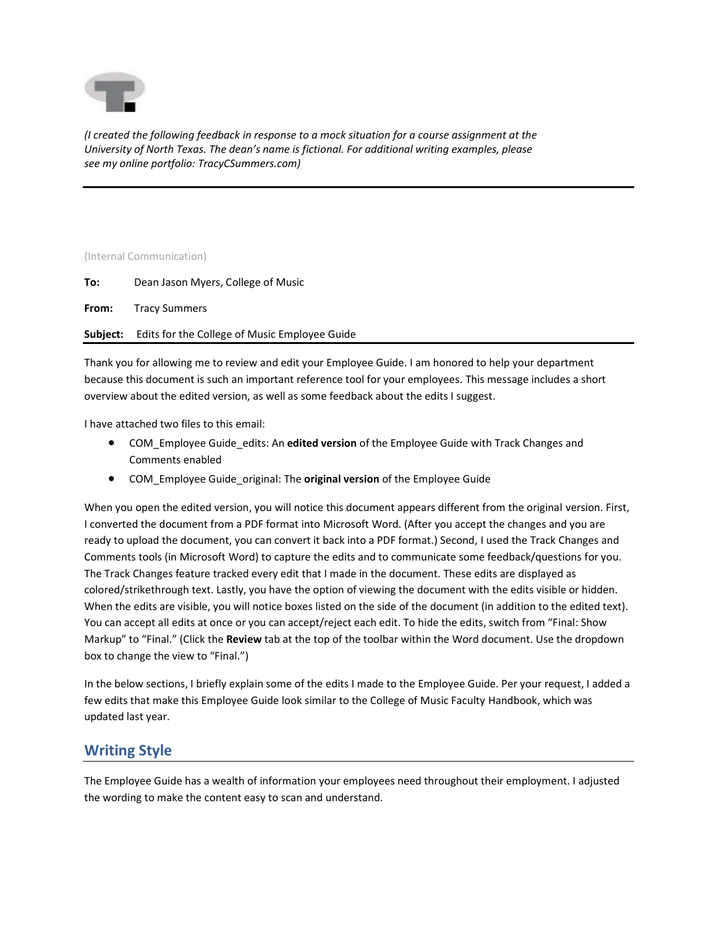

*(I created the following feedback in response to a mock situation for a course assignment at the University of North Texas. The dean's name is fictional. For additional writing examples, please see my online portfolio: TracyCSummers.com)*

## (Internal Communication)

- **To:** Dean Jason Myers, College of Music
- **From:** Tracy Summers

**Subject:** Edits for the College of Music Employee Guide

Thank you for allowing me to review and edit your Employee Guide. I am honored to help your department because this document is such an important reference tool for your employees. This message includes a short overview about the edited version, as well as some feedback about the edits I suggest.

I have attached two files to this email:

- COM\_Employee Guide\_edits: An **edited version** of the Employee Guide with Track Changes and Comments enabled
- COM\_Employee Guide\_original: The **original version** of the Employee Guide

When you open the edited version, you will notice this document appears different from the original version. First, I converted the document from a PDF format into Microsoft Word. (After you accept the changes and you are ready to upload the document, you can convert it back into a PDF format.) Second, I used the Track Changes and Comments tools (in Microsoft Word) to capture the edits and to communicate some feedback/questions for you. The Track Changes feature tracked every edit that I made in the document. These edits are displayed as colored/strikethrough text. Lastly, you have the option of viewing the document with the edits visible or hidden. When the edits are visible, you will notice boxes listed on the side of the document (in addition to the edited text). You can accept all edits at once or you can accept/reject each edit. To hide the edits, switch from "Final: Show Markup" to "Final." (Click the **Review** tab at the top of the toolbar within the Word document. Use the dropdown box to change the view to "Final.")

In the below sections, I briefly explain some of the edits I made to the Employee Guide. Per your request, I added a few edits that make this Employee Guide look similar to the College of Music Faculty Handbook, which was updated last year.

## **Writing Style**

The Employee Guide has a wealth of information your employees need throughout their employment. I adjusted the wording to make the content easy to scan and understand.